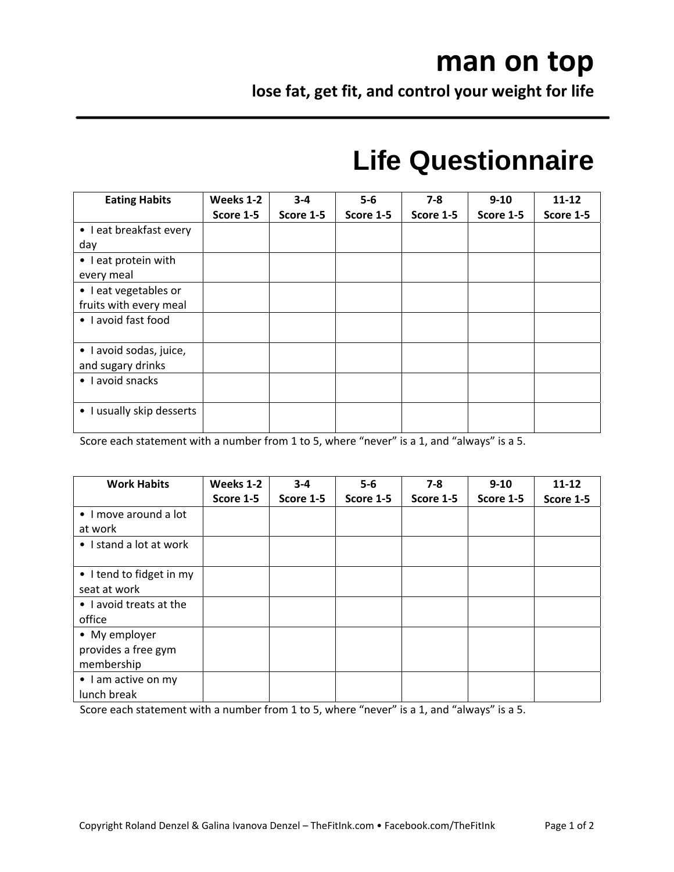## **man on top**

**lose fat, get fit, and control your weight for life**

## **Life Questionnaire**

| <b>Eating Habits</b>      | Weeks 1-2 | $3 - 4$   | $5-6$     | $7-8$     | $9 - 10$  | $11 - 12$ |
|---------------------------|-----------|-----------|-----------|-----------|-----------|-----------|
|                           | Score 1-5 | Score 1-5 | Score 1-5 | Score 1-5 | Score 1-5 | Score 1-5 |
| • I eat breakfast every   |           |           |           |           |           |           |
| day                       |           |           |           |           |           |           |
| • I eat protein with      |           |           |           |           |           |           |
| every meal                |           |           |           |           |           |           |
| • I eat vegetables or     |           |           |           |           |           |           |
| fruits with every meal    |           |           |           |           |           |           |
| • I avoid fast food       |           |           |           |           |           |           |
|                           |           |           |           |           |           |           |
| · I avoid sodas, juice,   |           |           |           |           |           |           |
| and sugary drinks         |           |           |           |           |           |           |
| • I avoid snacks          |           |           |           |           |           |           |
|                           |           |           |           |           |           |           |
| • I usually skip desserts |           |           |           |           |           |           |
|                           |           |           |           |           |           |           |

Score each statement with a number from 1 to 5, where "never" is a 1, and "always" is a 5.

| <b>Work Habits</b>       | Weeks 1-2 | $3 - 4$   | $5-6$     | $7 - 8$   | $9 - 10$  | $11 - 12$ |
|--------------------------|-----------|-----------|-----------|-----------|-----------|-----------|
|                          | Score 1-5 | Score 1-5 | Score 1-5 | Score 1-5 | Score 1-5 | Score 1-5 |
| • I move around a lot    |           |           |           |           |           |           |
| at work                  |           |           |           |           |           |           |
| • I stand a lot at work  |           |           |           |           |           |           |
|                          |           |           |           |           |           |           |
| • I tend to fidget in my |           |           |           |           |           |           |
| seat at work             |           |           |           |           |           |           |
| • I avoid treats at the  |           |           |           |           |           |           |
| office                   |           |           |           |           |           |           |
| • My employer            |           |           |           |           |           |           |
| provides a free gym      |           |           |           |           |           |           |
| membership               |           |           |           |           |           |           |
| • I am active on my      |           |           |           |           |           |           |
| lunch break              |           |           |           |           |           |           |

Score each statement with a number from 1 to 5, where "never" is a 1, and "always" is a 5.